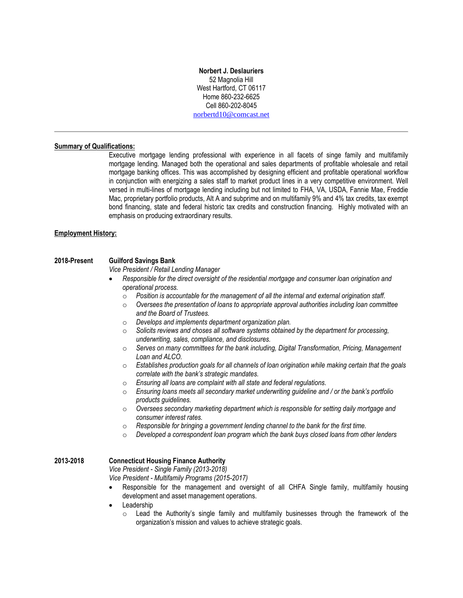### **Norbert J. Deslauriers** 52 Magnolia Hill West Hartford, CT 06117 Home 860-232-6625 Cell 860-202-8045 [norbertd10@comcast.net](mailto:norbertd10@comcast.net)

# **Summary of Qualifications:**

Executive mortgage lending professional with experience in all facets of singe family and multifamily mortgage lending. Managed both the operational and sales departments of profitable wholesale and retail mortgage banking offices. This was accomplished by designing efficient and profitable operational workflow in conjunction with energizing a sales staff to market product lines in a very competitive environment. Well versed in multi-lines of mortgage lending including but not limited to FHA, VA, USDA, Fannie Mae, Freddie Mac, proprietary portfolio products, Alt A and subprime and on multifamily 9% and 4% tax credits, tax exempt bond financing, state and federal historic tax credits and construction financing. Highly motivated with an emphasis on producing extraordinary results.

#### **Employment History:**

#### **2018-Present Guilford Savings Bank**

*Vice President / Retail Lending Manager*

- *Responsible for the direct oversight of the residential mortgage and consumer loan origination and operational process.* 
	- o *Position is accountable for the management of all the internal and external origination staff.*
	- o *Oversees the presentation of loans to appropriate approval authorities including loan committee and the Board of Trustees.*
	- o *Develops and implements department organization plan.*
	- o *Solicits reviews and choses all software systems obtained by the department for processing, underwriting, sales, compliance, and disclosures.*
	- o *Serves on many committees for the bank including, Digital Transformation, Pricing, Management Loan and ALCO.*
	- o *Establishes production goals for all channels of loan origination while making certain that the goals correlate with the bank's strategic mandates.*
	- o *Ensuring all loans are complaint with all state and federal regulations.*
	- o *Ensuring loans meets all secondary market underwriting guideline and / or the bank's portfolio products guidelines.*
	- o *Oversees secondary marketing department which is responsible for setting daily mortgage and consumer interest rates.*
	- o *Responsible for bringing a government lending channel to the bank for the first time.*
	- o *Developed a correspondent loan program which the bank buys closed loans from other lenders*

## **2013-2018 Connecticut Housing Finance Authority**

*Vice President - Single Family (2013-2018)* 

*Vice President - Multifamily Programs (2015-2017)*

- Responsible for the management and oversight of all CHFA Single family, multifamily housing development and asset management operations.
- **Leadership** 
	- $\circ$  Lead the Authority's single family and multifamily businesses through the framework of the organization's mission and values to achieve strategic goals.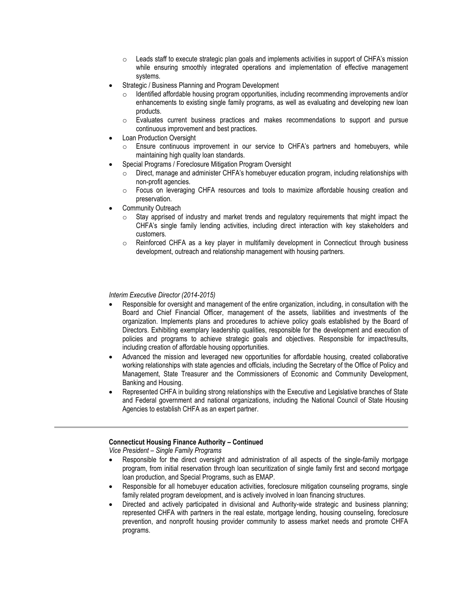- $\circ$  Leads staff to execute strategic plan goals and implements activities in support of CHFA's mission while ensuring smoothly integrated operations and implementation of effective management systems.
- Strategic / Business Planning and Program Development
	- Identified affordable housing program opportunities, including recommending improvements and/or enhancements to existing single family programs, as well as evaluating and developing new loan products.
	- o Evaluates current business practices and makes recommendations to support and pursue continuous improvement and best practices.
- **Loan Production Oversight** 
	- $\circ$  Ensure continuous improvement in our service to CHFA's partners and homebuyers, while maintaining high quality loan standards.
- Special Programs / Foreclosure Mitigation Program Oversight
	- Direct, manage and administer CHFA's homebuyer education program, including relationships with non-profit agencies.
	- o Focus on leveraging CHFA resources and tools to maximize affordable housing creation and preservation.
- Community Outreach
	- $\circ$  Stay apprised of industry and market trends and regulatory requirements that might impact the CHFA's single family lending activities, including direct interaction with key stakeholders and customers.
	- $\circ$  Reinforced CHFA as a key player in multifamily development in Connecticut through business development, outreach and relationship management with housing partners.

## *Interim Executive Director (2014-2015)*

- Responsible for oversight and management of the entire organization, including, in consultation with the Board and Chief Financial Officer, management of the assets, liabilities and investments of the organization. Implements plans and procedures to achieve policy goals established by the Board of Directors. Exhibiting exemplary leadership qualities, responsible for the development and execution of policies and programs to achieve strategic goals and objectives. Responsible for impact/results, including creation of affordable housing opportunities.
- Advanced the mission and leveraged new opportunities for affordable housing, created collaborative working relationships with state agencies and officials, including the Secretary of the Office of Policy and Management, State Treasurer and the Commissioners of Economic and Community Development, Banking and Housing.
- Represented CHFA in building strong relationships with the Executive and Legislative branches of State and Federal government and national organizations, including the National Council of State Housing Agencies to establish CHFA as an expert partner.

## **Connecticut Housing Finance Authority – Continued**

*Vice President – Single Family Programs* 

- Responsible for the direct oversight and administration of all aspects of the single-family mortgage program, from initial reservation through loan securitization of single family first and second mortgage loan production, and Special Programs, such as EMAP.
- Responsible for all homebuyer education activities, foreclosure mitigation counseling programs, single family related program development, and is actively involved in loan financing structures.
- Directed and actively participated in divisional and Authority-wide strategic and business planning; represented CHFA with partners in the real estate, mortgage lending, housing counseling, foreclosure prevention, and nonprofit housing provider community to assess market needs and promote CHFA programs.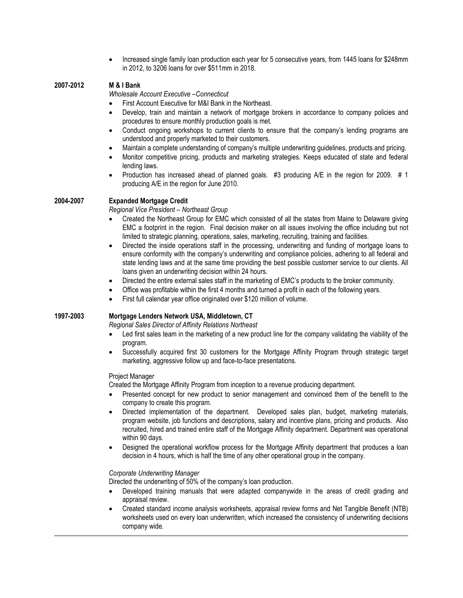• Increased single family loan production each year for 5 consecutive years, from 1445 loans for \$248mm in 2012, to 3206 loans for over \$511mm in 2018.

# **2007-2012 M & I Bank**

*Wholesale Account Executive –Connecticut*

- First Account Executive for M&I Bank in the Northeast.
- Develop, train and maintain a network of mortgage brokers in accordance to company policies and procedures to ensure monthly production goals is met.
- Conduct ongoing workshops to current clients to ensure that the company's lending programs are understood and properly marketed to their customers.
- Maintain a complete understanding of company's multiple underwriting guidelines, products and pricing.
- Monitor competitive pricing, products and marketing strategies. Keeps educated of state and federal lending laws.
- Production has increased ahead of planned goals. #3 producing A/E in the region for 2009. # 1 producing A/E in the region for June 2010.

## **2004-2007 Expanded Mortgage Credit**

*Regional Vice President – Northeast Group*

- Created the Northeast Group for EMC which consisted of all the states from Maine to Delaware giving EMC a footprint in the region. Final decision maker on all issues involving the office including but not limited to strategic planning, operations, sales, marketing, recruiting, training and facilities.
- Directed the inside operations staff in the processing, underwriting and funding of mortgage loans to ensure conformity with the company's underwriting and compliance policies, adhering to all federal and state lending laws and at the same time providing the best possible customer service to our clients. All loans given an underwriting decision within 24 hours.
- Directed the entire external sales staff in the marketing of EMC's products to the broker community.
- Office was profitable within the first 4 months and turned a profit in each of the following years.
- First full calendar year office originated over \$120 million of volume.

# **1997-2003 Mortgage Lenders Network USA, Middletown, CT**

*Regional Sales Director of Affinity Relations Northeast*

- Led first sales team in the marketing of a new product line for the company validating the viability of the program.
- Successfully acquired first 30 customers for the Mortgage Affinity Program through strategic target marketing, aggressive follow up and face-to-face presentations.

#### Project Manager

Created the Mortgage Affinity Program from inception to a revenue producing department.

- Presented concept for new product to senior management and convinced them of the benefit to the company to create this program.
- Directed implementation of the department. Developed sales plan, budget, marketing materials, program website, job functions and descriptions, salary and incentive plans, pricing and products. Also recruited, hired and trained entire staff of the Mortgage Affinity department. Department was operational within 90 days.
- Designed the operational workflow process for the Mortgage Affinity department that produces a loan decision in 4 hours, which is half the time of any other operational group in the company.

# *Corporate Underwriting Manager*

Directed the underwriting of 50% of the company's loan production.

- Developed training manuals that were adapted companywide in the areas of credit grading and appraisal review.
- Created standard income analysis worksheets, appraisal review forms and Net Tangible Benefit (NTB) worksheets used on every loan underwritten, which increased the consistency of underwriting decisions company wide.